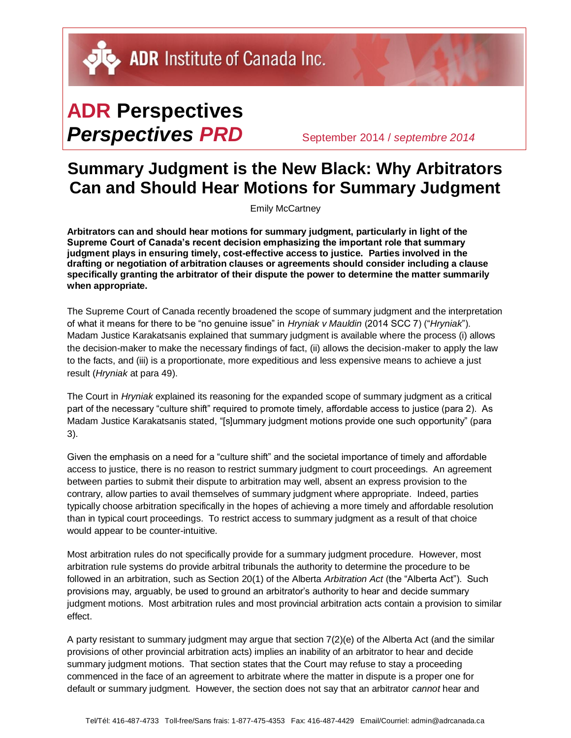DU ADR Institute of Canada Inc.

## **ADR Perspectives** *Perspectives PRD* September 2014 / *septembre <sup>2014</sup>*

## **Summary Judgment is the New Black: Why Arbitrators Can and Should Hear Motions for Summary Judgment**

Emily McCartney

**Arbitrators can and should hear motions for summary judgment, particularly in light of the Supreme Court of Canada's recent decision emphasizing the important role that summary judgment plays in ensuring timely, cost-effective access to justice. Parties involved in the drafting or negotiation of arbitration clauses or agreements should consider including a clause specifically granting the arbitrator of their dispute the power to determine the matter summarily when appropriate.** 

The Supreme Court of Canada recently broadened the scope of summary judgment and the interpretation of what it means for there to be "no genuine issue" in *Hryniak v Mauldin* (2014 SCC 7) ("*Hryniak*"). Madam Justice Karakatsanis explained that summary judgment is available where the process (i) allows the decision-maker to make the necessary findings of fact, (ii) allows the decision-maker to apply the law to the facts, and (iii) is a proportionate, more expeditious and less expensive means to achieve a just result (*Hryniak* at para 49).

The Court in *Hryniak* explained its reasoning for the expanded scope of summary judgment as a critical part of the necessary "culture shift" required to promote timely, affordable access to justice (para 2). As Madam Justice Karakatsanis stated, "[s]ummary judgment motions provide one such opportunity" (para 3).

Given the emphasis on a need for a "culture shift" and the societal importance of timely and affordable access to justice, there is no reason to restrict summary judgment to court proceedings. An agreement between parties to submit their dispute to arbitration may well, absent an express provision to the contrary, allow parties to avail themselves of summary judgment where appropriate. Indeed, parties typically choose arbitration specifically in the hopes of achieving a more timely and affordable resolution than in typical court proceedings. To restrict access to summary judgment as a result of that choice would appear to be counter-intuitive.

Most arbitration rules do not specifically provide for a summary judgment procedure. However, most arbitration rule systems do provide arbitral tribunals the authority to determine the procedure to be followed in an arbitration, such as Section 20(1) of the Alberta *Arbitration Act* (the "Alberta Act"). Such provisions may, arguably, be used to ground an arbitrator's authority to hear and decide summary judgment motions. Most arbitration rules and most provincial arbitration acts contain a provision to similar effect.

A party resistant to summary judgment may argue that section 7(2)(e) of the Alberta Act (and the similar provisions of other provincial arbitration acts) implies an inability of an arbitrator to hear and decide summary judgment motions. That section states that the Court may refuse to stay a proceeding commenced in the face of an agreement to arbitrate where the matter in dispute is a proper one for default or summary judgment. However, the section does not say that an arbitrator *cannot* hear and